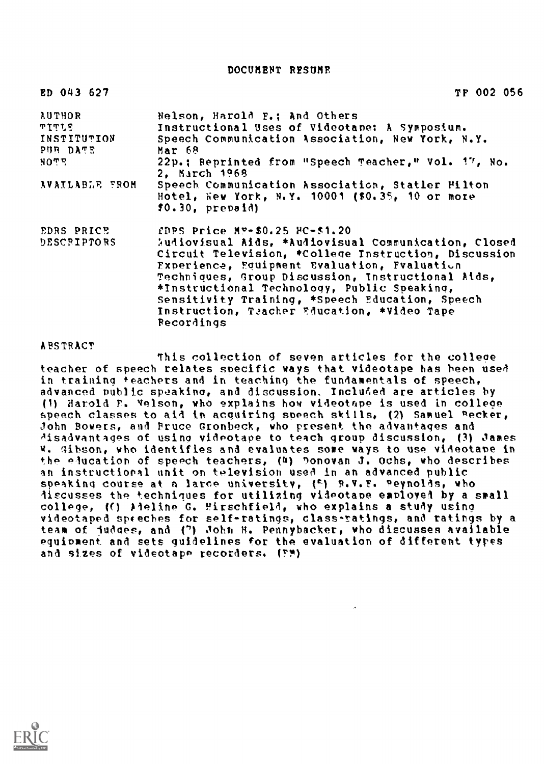DOCUMENT RESUME

ED 043 627

TF 002 056

| Nelson, Harold F.: And Others<br>Instructional Uses of Videotape: A Symposium.                                                                                                                                                                                                                                                                                                   |
|----------------------------------------------------------------------------------------------------------------------------------------------------------------------------------------------------------------------------------------------------------------------------------------------------------------------------------------------------------------------------------|
| Speech Communication Association, New York, N.Y.                                                                                                                                                                                                                                                                                                                                 |
| Mar 68                                                                                                                                                                                                                                                                                                                                                                           |
| 22p.; Reprinted from "Speech Teacher," Vol. 17, No.<br>2. Narch 1968                                                                                                                                                                                                                                                                                                             |
| Speech Communication Association, Statler Pilton<br>Hotel, New York, N.Y. 10001 (\$0.35, 10 or more<br>$10.30$ , prepaid)                                                                                                                                                                                                                                                        |
| FDRS Price NP-\$0.25 HC-\$1.20                                                                                                                                                                                                                                                                                                                                                   |
| Audiovisual Aids, *Audiovisual Communication, Closed<br>Circuit Television, *College Instruction, Discussion<br>Experience, Equipment Evaluation, Fvaluation<br>Techniques, Group Discussion, Instructional Aids,<br>*Instructional Technology, Public Speaking,<br>Sensitivity Training, *Speech Education, Speech<br>Instruction, Teacher Education, *Video Tape<br>Recordings |
|                                                                                                                                                                                                                                                                                                                                                                                  |

## **ABSTRACT**

This collection of seven articles for the college teacher of speech relates soecific ways that videotape has been used in training teachers and in teaching the fundamentals of speech, advanced public speaking, and discussion. Included are articles by (1) Harold E. Nelson, who explains how videotape is used in college speech classes to aid in acguiring speech skills, (2) Samuel Recker, John Bowers, and Pruce Gronbeck, who present the advantages and Aisadvantages of using videotape to teach group discussion, (1) James v. Gibson, who identifies and evaluates some ways to use videotape in the education of speech teachers, (4) Donovan J. Ochs, who describes an instructional unit on television used in an advanced public speaking course at n large university, (9 R.V.F. Peynolis, who discusses the technilues for utilizing videotape employed by a small college, (f) Adeline G. Hirschfield, who explains a study using videotaped speeches for self-ratings, class-ratings, and ratings by a team of judges, and (") John H. Pennybacker, who discusses available equipment and sets guidelines for the evaluation of different types and sizes of videotape recorders. (FM)

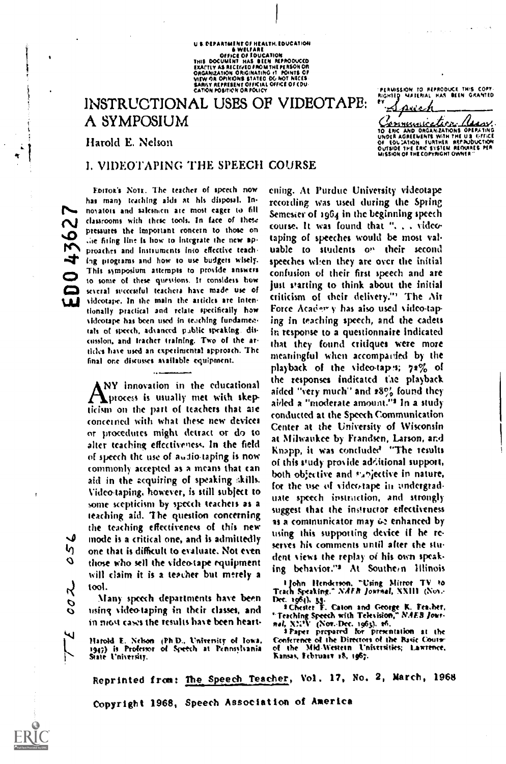U.S. DEFARTED THAN ENGINEERING OF ENGINEERING ON THE SOCIATION AND REPRODUCED PRODUCTIVE AS RECORD ON ORGANIZATION ORGANIZATION OF POINTS OF THE SOCIATION OF THE SOCIATION OF THE SOCIATION OF THE SOCIATION OF THE SAME OF T

INSTRUCTIONAL USES OF VIDEOTAPE: A SYMPOSIUM

Harold E, Nelson

# 1. VIDEOTAPING THE SPEECH COURSE

◡ სე O

 $\kappa$ 00

EDITOR's NOTE. The teacher of speech now has man) teaching aids at his disposal. In. nosators and salesmen ate most eager to fill classrooms with these tools. In face of these pressures the Important concern to those on<br>the fiting line is how to integrate the new ap-I proaches and Instruments into effective teach. 4' Ing programs and how to use budgets wisely. This symposium attempts to provide answers to some of these questions. It considers how several successful teachers have made use of All videotape. In the main the articles are intentionally practical and relate specifically how videotape has been used in teaching fundamentals of speech, advanced public speaking. discussion. and teacher training. Two of the an ticks hale used an experimental approach. The final one discusses mailable equipment.

NY innovation in the educational process is usually met with skepticism on the part of teachers that ale concerned with what these new devices or procedures might detract or do to alter teaching effectiveness. In the field of speech the use of audio-taping is now commonly accepted as a means that can aid in the acquiring of speaking Video-taping. however, is still subject to some scepticism by speech teachers as a teaching aid. The question concerning the teaching effectiveness of this new mode is a critical one, and is admittedly one that is difficult to evaluate. Not even those who sell the videotape equipment will claim it is a teacher but merely a tool.

Many speech departments have been using video-taping in their classes, and in most cases the results have been heart-

 $\sim$ llaroid E. Nelson (Ph D., 'University of Iowa. e9f;j is Professor of Speech at Pcnnstittania State University.

ening. At Purdue University videotape recording was used during the Spring Semester of 1964 in the beginning speech course. It was found that ". . . videotaping of speeches would be most valuable to students or their second speeches when they are over the initial confusion of their first speech and are just starting to think about the initial criticism of their delivery."' The Air Force Academy has also used video-taping in teaching speech, and the cadets in response to a questionnaire indicated that they found critiques were more meaningful when accompanied by the playback of the video-tapes; 72% of the responses indicated fae playback aided "very much" and  $28\%$  found they aided a "moderate amount."<sup>2</sup> In a study conducted at the Speeds Communication Center at the University of Wisconsin at Milwaukee by Frandsen, Larson, and Knapp, it was concluded "The results of this study pros ide ad'.itional support, both objective and subjective in nature, for the use of video-tape in undergraduate speech instruction, and strongly suggest that the instructor effectiveness as a communicator may  $\omega$  enhanced by using this suppotting device it he reserves his comments until after the stu dent sieves the replay of his own speak ing behavior."" At Southern Illinois

john Henderson, "Using Mirror TV to Trach Speaking." *NAFR Journal,* XXIII. (Nov.<del>)</del><br>Det. 1964), 33.<br>- 4 Chester F. Caton and George K. Fealber,

"Teaching Speech with Television," N.4E3 Jour-<br>nal, XXIV (Nov.-Dec. 1965), 46.<br>- A Paper prepared for presentation at the

Conference of the Directors of the Rasic Cours;<br>of the Mid-Wortern Universities; Lawrence, Kansas, Februarv 18, 1967.

Reprinted from: The Speech Teacher, Vol. 17, No. 2, March, 1968

Copyright 1968, Speech Association of America

'PERMISSION TO REPRODUCE THIS COPT .<br>RIGHTED MATERIAL HAS BEEN GRANTED TO IRK AND ORGANIZATIONS OPERATING<br>UNDER AGREEMENTS WITH THE US C.FTICE<br>OF IEOLIATION FURTHER REPRODUCTION<br>OUTSION OF THE COPYRIGHT OWNER ?<br>MISSION OF THE COPYRIGHT OWNER ?

 $\sim 100$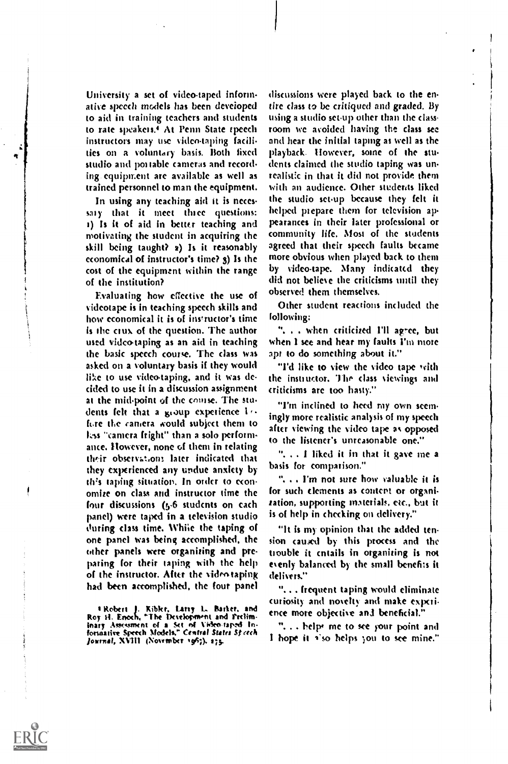University a set of video-taped informative speech models has been deveioped to aid in training teachers and students to rate speakers.<sup>4</sup> At Penn State speech instructors may use video-taping facilities on a voluntary basis. Both fixed studio and pot table cameras and recording. equipment are available as well as trained personnel to man the equipment.

In using any teaching aid it is necessary that it meet three questions: I) Is it of aid in better teaching and motivating the student in acquiring the skill being taught? a) Is it reasonably economical of instructor's time? 3) Is the cost of the equipment within the range of the institution?

F.valuating how effective the use of videotape is in teaching speech skills and how economical it is of instructor's time is the crux of the question. The author used videotaping as an aid in teaching the basic speech course. The class was asked on a voluntary basis if they would like to use video-taping, and it was decided to use it in a discussion assignment at the mid-point of the comse. The students felt that a group experience  $1 \leftrightarrow$ fore the camera would subject them to kss "camera fright" than a solo performance. However, none of them in relating their observations later indicated that they experienced any undue anxiety by th's taping situation. In order to economize on class and instructor time the four discussions (5-6 students on each panel) were taped in a television studio during class time. While the taping of one panel was being accomplished, the other panels were organizing and preparing for their taping with the help of the instructor. After the videotaping had been accomplished, the four panel

I. Robert J. Kibke, Lang L. Barker, and Turromy<br>Roy H. Enoch, "The Development and Frelim. Ence mor ;nary Awcinitnt of a Sct of Video taptd in. foridative Speech Models." Central States St cech Journal, XVIII (November 1965), 275.

discussions were played back to the entire class to be critiqued and graded. By using a studio setup other than the classroom we avoided having the class see and hear the initial taping as well as the playback. However, some of the students claimed the studio taping was unrealistic in that it did not provide them with an audience. Other students liked the studio set-up because they felt it helped pupate them for television appearances in their later professional or community life, Most of the students agreed that their speech faults became more obvious when played back to them by video-tape. Many indicated they did not believe the criticisms until they observed them themselves.

Other student reactions included the following:

". . . when criticized I'll agree, but when 1 see and hear my faults I'm more apt to do something about it."

"I'd like to view the video tape with the instructor. The class siewings and criticisms are too hasty."

"I'm inclined to heed my own seem ingly more realistic analysis of my speech after viewing the video tape as opposed to the listener's unreasonable one."

". . I liked it in that it gave me a basis for comparison."

". .. I'm not sure how valuable it is for such elements as content or organization, supporting materials. etc., but it is of help in checking on delivery."

"It is my opinion that the added tension cauxd by this process and the trouble it entails in organizing is not evenly balanced by the small benefits it delivers."

"... frequent taping would eliminate curiosity and novelty and make experience more objective and beneficial."

.'.. helps me to see your point and I hope it *i*'so helps you to see mine."

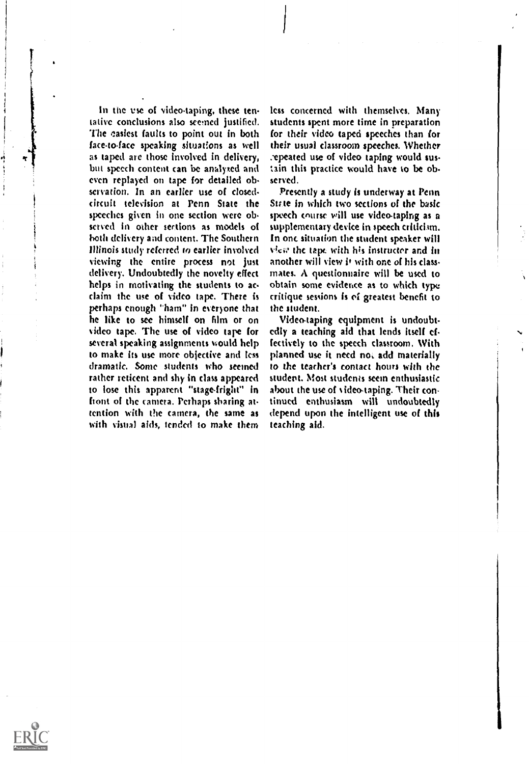In the vse of video-taping, these tentative conclusions also seemed justified. The easiest faults to point out in both face-to-face speaking situations as well as taped are those involved in delivery, but speech content can be analyzed and even replayed on tape for detailed observation. In an earlier use of closed circuit television at Penn State the speeches given in one section were observed in other sertions as models of both delivery and content. The Southern Illinois study referred to earlier involved viewing the entire process not just delivery. Undoubtedly the novelty effect helps in motivating the students to ac. claim the use of video tape. There is perhaps enough 'ham" in everyone that he like to see himself on film or on video tape. The use of video tape for several speaking assignments would help to make its use more objective and less dramatic. Some students who seemed rather reticent and shy in class appeared to lose this apparent "stage-fright" in front of the camera. Perhaps sharing at. tention with the camera, the same as with visual aids, tended to make them

less concerned with themselves. Many students spent more time in preparation for their video taped speeches than for their usual classroom speeches. Whether .-epeated use of video taping would sustain this practice would have to be observed.

Presently a study is underway at Penn Sinte in which two sections of the basic speech course will use video-taping as a supplementary device in speech criticism. In one situation the student speaker will view the tape with his instructor and in another will view it with one of his class. mates. A questionnaire will be used to obtain some evidence as to which type critique sessions is of greatest benefit to the student.

Video-taping equipment is undoubtedly a teaching aid that lends itself cf. festively to the speech classroom. With planned use it need not add materially to the teacher's contact hours with the student. Most students seem enthusiastic about the use of sideo-taping. Their continued enthusiasm wilt undoubtedly depend upon the intelligent use of this teaching aid.

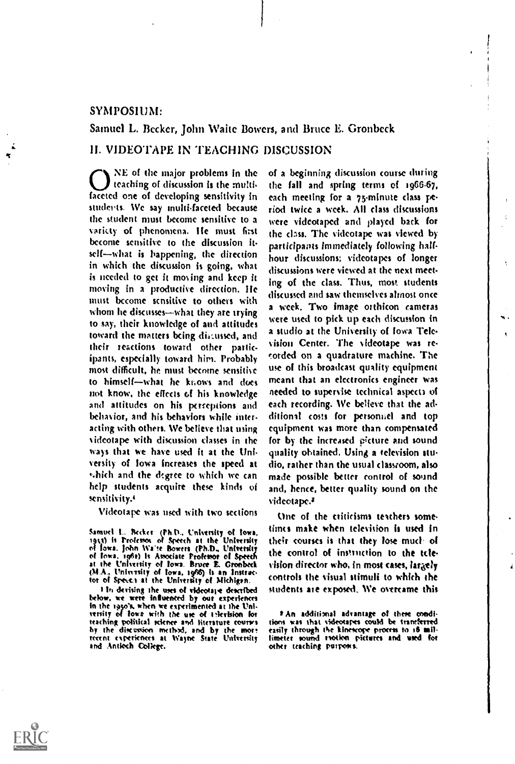Samuel L. Becker, John Waite Bowers, and Bruce E. Gronbeck H. VIDEOTAPE IN TEACHING DISCUSSION

NE of the major problems in the teaching of discussion is the multifaceted one of developing sensitivity in students. We say multi-faceted because the student must become sensitive to a variety of phenomena. Ile must first become sensitive to the discussion it. self-what is happening, the direction in which the discussion is going, what is needed to get it moving and keep it moving in a productive direction. Ile must become sensitive to others with whom he discusses-what they are trying to say, their knowledge of and attitudes toward the matters being discussed, and their reactions toward other participants, especially toward him. Probably most difficult, he must become sensitive to himself-what he knows and does not know, the effects of his knowledge and attitudes on his perceptions and behavior, and his behaviors while inter acting with others. We believe that using videotape with discussion classes in the ways that we have used it at the Uni versity of Iowa increases the speed at which and the degree to which we can help students acquire these kinds of sensitivity.t

Videotape was used with two sections

Samuel L. Becker (Ph.D., University of Iowa, things in<br>1953) is Frofessor of Speech at the University their co-<br>of Iowa. John Wa'te Bowers (Ph.D., University the conof Iowa. 1968) It Associate Professor of Speech at the University of Iowa. Bruce E. Gronbeck (M.A., University of Iowa, 1966) is an Instructor of Specca at the University of Michigan.

hi denting the tiles of videotape described below. we wets inilvented by out experiences In the 1950's, when we experimented at the University of Town with the use of 1 therision for lenthing political science and literature courses tions was that videotape<br>by the discussion method, and by the mart recent especience and literature in<br>the mart recent electricity of the mart recent recent electricity<br>and and Antioch College.

of a beginning discussion course during the fall and spring terms of 1966.67, each meeting for a 75-minute class period twice a week. All class discussions were videotaped and played back for the class. The videotape was viewed by participants Immediately following half hour discussions; videotapes of longer discussions were viewed at the next meet ing of the class. Thus, most students discussed and saw themselves almost once a week. Two image orthicon cameras were used to pick up each discussion In a studio at the University of Iowa Tele vision Center. The videotape was recorded on a quadrature machine. The use of this broadcast quality equipment meant that an electronics engineer was needed to supervise technical aspects of each recording. We believe that the additional costs for personnel and top equipment was more than compensated for by the increased picture and sound quality obtained. Using a television studio, rather than the usual classroom, also made possible better control of sound and, hence, better quality sound on the Videotape.\*

One of the criticisms teachers sometimes make when television is used in their courses is that they lose much of the control of instruction to the television director who, in most cases, largely controls the visual stimuli to which the students are exposed. We overcame this



<sup>\*</sup>An additional advantage of there condi tions was that videotapes could be transferred easily through the kinescope process to 16 millimeter sound reotion pictures and used for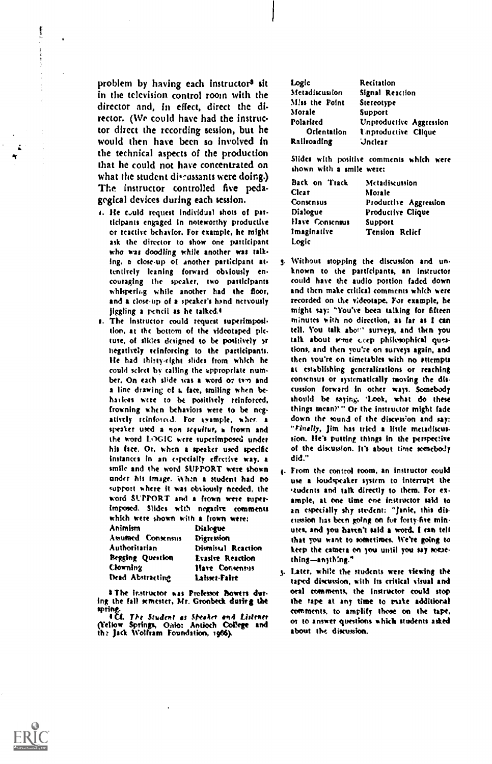problem by having each instructor<sup>s</sup> sit in the television control room with the director and, in effect, direct the director. (We could have had the instructor direct the recording session, but he would then have been so involved in the technical aspects of the production that he could not have concentrated on what the student diveussants were doing.) The instructor controlled five pedagogical devices during each session.

- r. lie e..uld request individual shots of participants engaged in noteworthy productive or reactive behavior. For example, he might ask the director to show one participant who was doodling while another was talk. ing, a closeup of another participant attentively leaning forward obviously en. couraging the speaker, two participants whispering while another had the floor, and a close-tip of a speaker's hand netyousty jiggling a pencil as he talked.4
- a. The instructor could request superimposi Lion, at the bottom of the videotaped plcture, of slides designed to be positively or negatively reinforcing to the participants. lie had thirty.eight slides from which he could select by calling the appropriate number. On each slide was a word or two and a line drawing of a face, smiling when behaviors were to be positively reinforced, frowning when behaviors were to be neg. atively reinforced. For trample, wher. a speaker used a non seguitur, a frown and the word LOGIC were superimposed under his fate. Or, when a speaker used specific instances in an especially effective way, a smile and the word SUPPORT were shown under his Image. iv hen a student had no support where it was obviously needed, the word SUPPORT and a frown were superimposed. Slides with negative comments which were shown with a frown were:

| Animism                  | <b>Dialogue</b>   |       | ut    |
|--------------------------|-------------------|-------|-------|
| <b>Assumed Consensus</b> | Digression        |       | thi   |
| Authoritatian            | Dismisul Reaction |       | ke    |
| Begging Question         | Evasive Reaction  |       | thi   |
| Clowning                 | Have Consensus    | s. La |       |
| Dead Abstracting         | Laisset-Faire     |       | 1 s r |

**The instructor was Professor Bowers dur**ing the fall semester, Mr. Gronbeck during the

spring. Comme<br>- I Cf. T*he Student as Sjeaker and Listener* - Or to :<br>(Yellow Springs, Onlo: Antioch College and - or to :<br>the Jack Wolfram Foundation, 1966).

| Logic          | Recitation              |
|----------------|-------------------------|
| Metadiscussion | Signal Reaction         |
| Miss the Point | Stereotype              |
| Morale         | Support                 |
| Polarized      | Unproductive Aggression |
| Orientation    | Unproductive Clique     |
| Railroading    | Unclear                 |
|                |                         |

Slides with positive comments which were shown with a smile weir:

| Back on Track    | Mctadiscussion           |
|------------------|--------------------------|
| Clear            | Morale                   |
| <b>Consensus</b> | Productive Aggression    |
| Dialogue         | <b>Productive Clique</b> |
| Have Consensus   | Support                  |
| Imaginative      | Tension Relief           |
| Logic            |                          |

- 3. Without stopping the discussion and unknown to the participants, an instructor could have the audio portion faded down and then make critical comments which were recorded on the videotape. For example, he might say: ''You've been talking for fifteen minutes with no direction, as far as I can tell. You talk abor' surveys, and then you talk about some deep philosophical questions, and then you're on surveys again, and then you're on timetables with no attempts at establishing generalizations or reaching consensus or systematically moving the discussion forward in other ways. Somebody should be saying, 'Look, what do these things mean?'" Or the instructor might fade down the sound of the discussion and say: "Finally, Jim has tried a little metadiscussion. He's putting things in the perspective of the discussion. It's about time somebody did."
- s. From the control room, an instructor could use a loudspeaker system to interrupt the udents and talk directly to them. For example, at one time one instructor said to an especially shy student: "Janie, this discussion has been going on for forty-five minutes, and you haven't said a word. I an tell that you want to sometimes. Were going to keep the camera on you until you say sootthing-anything."
- 3. Later, while the students were viewing the taped discussion, with its critical visual and oral comments, the instructor could stop the tape at any time to make additional comments, to amplify those on the tape, or to answer questions which students asked about the discussion.



 $\frac{1}{2}$  $\mathcal{O}(\frac{1}{2} \log \frac{1}{2} \log \frac{1}{2} \log \frac{1}{2} \log \frac{1}{2} \log \frac{1}{2} \log \frac{1}{2} \log \frac{1}{2} \log \frac{1}{2} \log \frac{1}{2} \log \frac{1}{2} \log \frac{1}{2} \log \frac{1}{2} \log \frac{1}{2} \log \frac{1}{2} \log \frac{1}{2} \log \frac{1}{2} \log \frac{1}{2} \log \frac{1}{2} \log \frac{1}{2} \log \frac{1}{2} \log \frac{1}{2} \log \frac{1}{2} \log \frac{1}{2}$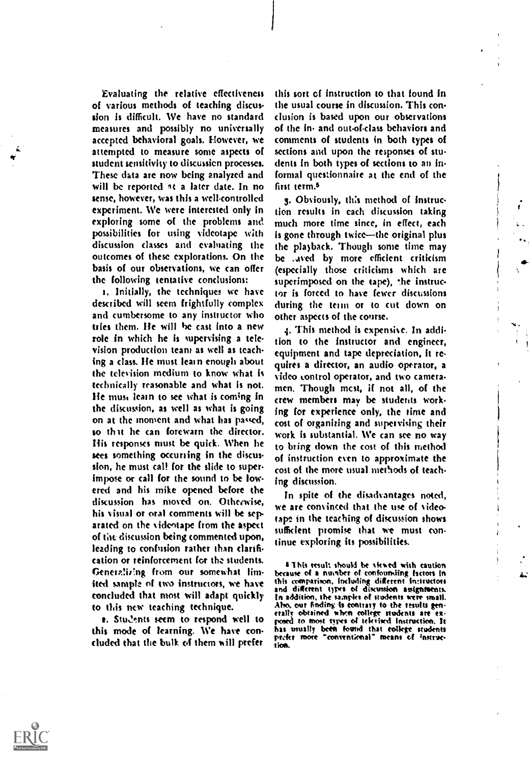Evaluating the relative effectiveness of various methods of teaching discussion is difficult. We have no standard measures and possibly no universally accepted behavioral goals. However, we attempted to measure some aspects of student sensitivity to discussion processes. These data are now being analyzed and will be reported at a later date. In no sense, however, was this a wellcontrolled experiment. We were interested only in exploring some of the problems and possibilities for using videotape with discussion classes and evaluating the outcomes of these explorations. On the basis of our observations, we can offer the following tentative conclusions:

i. Initially, the techniques we have described will seem frightfully complex and cumbersome to any instructor who tries them. He will be cast into a new role in which he is supervising a television production team as well as teaching a class. lie must learn enough about the television medium to know what is technically reasonable and what is not. He must learn to see what is coming in the discussion, as well as what is going on at the moment and what has passed, so th it he can forewarn the director. His responses must be quick. When he sees something occurring in the discussion, he must cal! for the slide to super. impose or call for the sound to be lowered and his mike opened before the discussion has moved on. Otherwise, his visual or oral comments will be separated on the videotape from the aspect of tire discussion being commented upon, leading to confusion rather than clarification or reinforcement for the students. Generalizing from our somewhat limited sample of two instructors, we have concluded that most will adapt quickly In addition, the samples of students were small.<br>to this new teaching technique. Also, our finding is contrary to the results gento this new teaching technique.

this mode of learning. We have concluded that the bulk of them will prefer more "conventional" means of instruc-

this sort cf instruction to that found in the usual course in discussion. This conelusion is based upon our observations of the in- and out-of-class behaviors and comments of students in both types of sections and upon the responses of students in both types of sections to an informal questionnaire at the end of the first term.6

3. Obviously, this method of instruction results in each discussion taking much more time since, in effect, each is gone through twice-the original plus the playback. Though some time may be .aved by more efficient criticism (especially those criticisms which are superimposed on the tape), the instructor is forced to have fewer discussions during the term or to cut down on other aspects of the course.

.. This method is expensive. In addition to the instructor and engineer, equipment and tape depreciation, it requires a director, an audio operator, a video vontrol operator, and two cameramen. Though mcst, if not all, of the crew members may be students working for experience only, the time and cost of organizing and supervising their work is substantial. We can see no way to bring down the cost of this method of instruction even to approximate the cost of the more usual methods of teaching discussion.

In spite of the disadvantages noted, we are convinced that the use of video. tape in the teaching of discussion shows sufficient promise that we must continue exploring its possibilities.



s. Students seem to respond well to posed to most types of televised instruction. It SIM; result should be skwed with caution because of a number of confounding futon In this comparison, Including different includents and different types of discussion assignments. has usually been found that college students lion.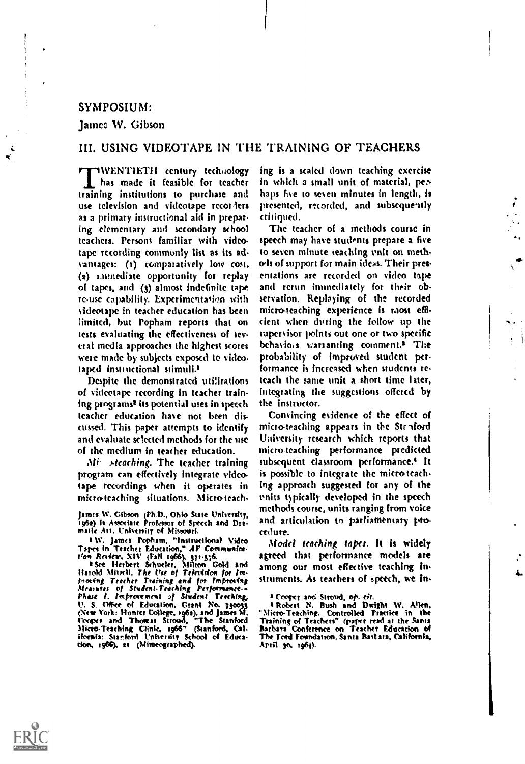Jame: W. Gibson

#### III. USING VIDEOTAPE IN THE TRAINING OF TEACHERS

TWENTIETH century technology has made it feasible for teacher training institutions to purchase and use television and videotape recorders as a primary instructional aid in preparing elementary and secondary school teachers. Persons familiar with videotape recording commonly list as its advantages: (1) comparatively low cost, (a) immediate opportunity for replay of tapes, and (3) almost indefinite tape re-use capability. Experimentation with videotape in teacher education has been limited, but Popham reports that on tests evaluating the effectiveness of several media approaches the highest scores were made by subjects exposed to videotaped instructional stimuli'

Despite the demonstrated utilirations of videotape recording in teacher training programs<sup>2</sup> its potential uses in speech teacher education have not been discussed. This paper attempts to identify and evaluate selected methods for the use of the medium in teacher education.

)-teaching. The teacher training program can effectively integrate videotape recordings when it operates in micro-teaching situations. Micro-teach-

James W. Gibson (Ph.D., Ohio State University, 1968) it Associate Professor of Speech and Dra-<br>math Att. University of Missouri.

I.W. James Popham, "Instructional Video Model Tapes in Teacher Education," AP Communics.<br>1:00 Review, XIV (Fall 1966), g31-376. r See Herbert Schueler, Milton Gold and among in

froxing Teacher Training and for Improving SITUMCI<br>Measures of Student-Teaching Performance--<br>Phase 1, Improvement of Student Teaching, 199000<br>U. S. Office of Education, Grant No. 730033 19900 (New York: Hunter College, 1964), and James M. - "Micro-T<br>Cooper and Thomas Stroud, "The Stanford - Training Micro-Teaching Clink, 1966" (Stanford, Cal. - Ba<br>ifornia: Stanford University School of Educa- - T1<br>tion, 1966), 21 (Mimeographed). - - - A1

ing is a scaled down teaching exercise in which a small unit of material, perhaps five to seven minutes in length, is presented, recorded, and subsequently critiqued.

The teacher of a methods course in speech may have students prepare a five to seven minute teaching unit on methods of support for main ideas. Their presentations are recorded on video tape and rerun immediately for their ob. servation. Replaying of the recorded micro-teaching experience is most efficient when during the follow up the supervisor points out one or two specific behaviors warranting comment.\* The probability of improved student performance is increased when students reteach the same unit a short time later, integrating the suggestions offered by the instructor.

Convincing evidence of the effect of micro-teaching appears in the Ste "ford University research which reports that micro-teaching performance predicted subsequent classroom performance.<sup>4</sup> It is possible to integrate the micro-teaching approach suggested for any of the units typically developed in the speech methods course, units ranging from voice and articulation to parliamentary procedure.

Model teaching tapes. It is widely agreed that performance models are among our most effective teaching instruments. As teachers of speech, we in-

<sup>2</sup> Cooper and Stroud, o*ft. tit.*<br>IRobert N. Bush and Dwight W. Allen, -<br>"Micro-Teaching. Controlled Practice in the Training of Teachers" (paper read at the Santa Barbara Conference on Teacher Education of The Ford Foundation, Santa Bartara, California,<br>April 30, 1964).

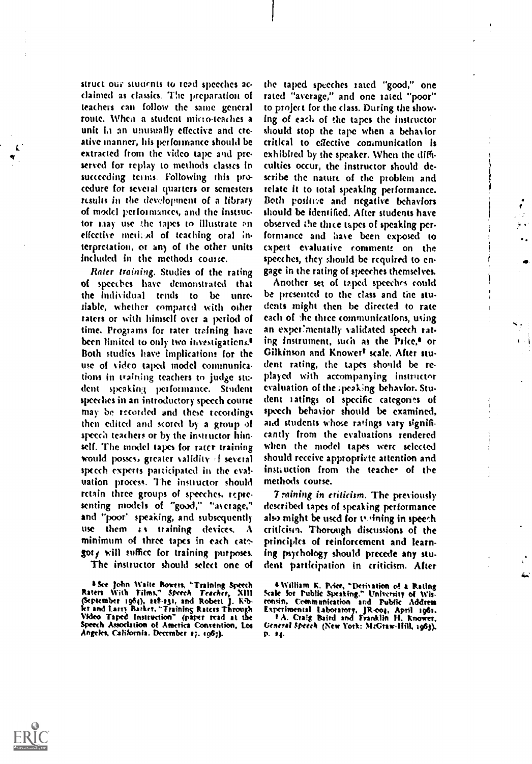struct our students to read speeches acclaimed as classics. The preparation of teachers can follow the same general route. When a student micro-teaches a unit in an unusually effective and creative tnanner, his performance should be extracted from the video tape and preserved for replay to methods classes in succeeding terms. Following this procedure for several quarters or semesters results in the development of a library of model per fot nnnces, and the instructor may use the tapes to illustrate  $\ell n$ effective meti.)41 of teaching oral interpretation, or any of the other units included in the methods course.

Eater training. Studies of the rating of speeches have demonstrated that the individual tends to be unreliable, whether compared with other raters or with himself over a period of time. Progiams for rater training hare been limited to only two investigations.<sup>6</sup> Both studies Itave implications for the use of video taped model communications in training teachers to judge student speaking performance. Student speeches in an introductory speech course may be tccorded and these recordings then edited and scored by a group of speech teachers or by the insttuctor himself. The model tapes for rater training would posses, greater validity if several speech experts participated in the evaluation process. The instructor should retain three groups of speeches. representing models of "good," "average," and "poor'. speaking, and subsequently use them as training devices. A minimum of three tapes in each got/ will suffice for training purposes. The instructor should select one of

\$See John iVaite Bourn, "Training Speech Raters With Films," Speech restful, MI

(September 1954), its -egt, and Robett J. kib-<br>kr and Larry Barker. "Training Raters Through<br>Video Taped Instruction" (paper read at the<br>Speech Association of America Contention, Los<br>Reech Amociation of America Contention, Angeles, California. December 27. 1967).

the taped speeches rated "good," one rated "average," and one rated "poor" to project for the class. During the showing of each of the tapes the instructor should stop the tape when a behavior critical to effective communication Is exhibited by the speaker. When the difficulties occur, the instructor should describe the nature of the problem and relate It to total speaking performance. Both positive and negative behaviors should be identified. After students have observed the dace tapes of speaking performance and have been exposed to expert evaluative comments on the speeches, they should be required to engage in the rating of speeches themselves.

Another set of taped speeches could be presented to the class and the students might then be directed to rate each of he three communications, using an experimentally validated speech rating instrument, such as the Price' or Gilkinson and Knower' scale. After student rating, the tapes should be replayed with accompanying instructor evaluation of the speaking behavior. Student ratings of specific categories of speech behavior should be examined, aid students whose ratings vary significantly from the evaluations rendered when the model tapes were selected should receive appropriete attention and insliuction from the teacher of the methods course.

7 raining in criticism. The previously described tapes of speaking performance also might be used for twining in speech. criticism Thorough discussions of the principles of reinforcement and learning psychology should precede any student participation in criticism. After



asvilliarn K. Rice, "Detixation of a Rating Scale for Public Speaking." Unix-rsity of Wis-<br>consin. Communication and Public Add<del>iem</del><br>Experimental Laboratory, JR-oo4, April 1961.<br>. . . . Craig Baird and Franklin H. Knower. General Speech (New York: McGraw-Hill, 1963). P. 14-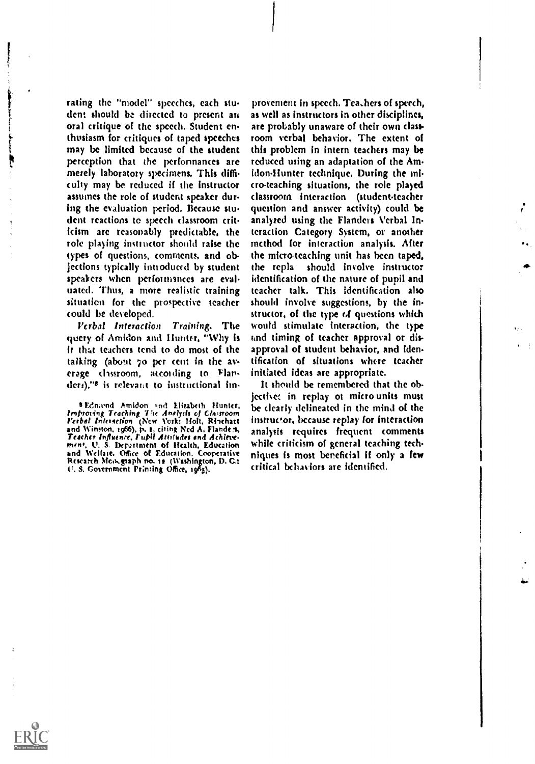rating the "model" speeches, each student should be directed to present art oral critique of the speech. Student enthusiasm for critiques of taped speeches may be limited because of the student perception that the perfonnances are merely laboratory specimens. This dimculty may be reduced if the instructor assumes the role of student speaker during the evaluation period. Because student reactions to speech classroom criticism are reasonably predictable, the role playing instructor should raise the types of questions, comments, and objections typically introduced by student the replaspeakers when performances are evaluated. Thus, a more realistic training situation for the prospective teacher could be developed.

Verbal Interaction Training. The query of Amidon and Hunter, "Why is it that teachers tend to do most of the talking (about 7o per cent in the average classroom, according to Flanders),"\* is relevant to instructional im-

8 Ednard Amidon and Elizabeth Hunter, Improving Teaching The Analysis of Classroom<br>Verbal Interaction (New York: Holt, Rinchart - instructe<br>and Winston, 1966), p. a. civing Ned A. Flanders. - analysis<br>Teacher Influence, Fubil Attitudes and Achieve. - analysis<br> ment, U. S. Department of Health, Education.<br>and Welfare. Office of Education. Cooperative<br>Research Meingraph no. 12 (Washington, D. C.). C. S. Government Printing Office, 1965).

provement in speech. Tea.hers of speech, as well as instructors in other disciplines, are probably unaware of their own classroom verbal behavior. The extent of this problem in intern teachers may be reduced using an adaptation of the Amidon-Ifunter technique. During the micro-teaching situations, the role played classroom interaction (studentteacher question and answer activity) could be analyzed using the Flanders Verbal Interaction Category System, or another method for interaction analysis. After the micro-teaching unit has been taped, should involve instructor identification of the nature of pupil and teacher talk. This Identification also should involve suggestions, by the instructor, of the type of questions which would stimulate interaction, the type and timing of teacher approval or disapproval of student behavior, and identification of situations where teacher initiated ideas are appropriate.

It should be remembered that the objective: in replay of micro-units must be clearly delineated in the mind of the instructor, because replay for interaction analysis requires frequent comments while criticism of general teaching techniques is most beneficial if only a few critical behaviors are identified.

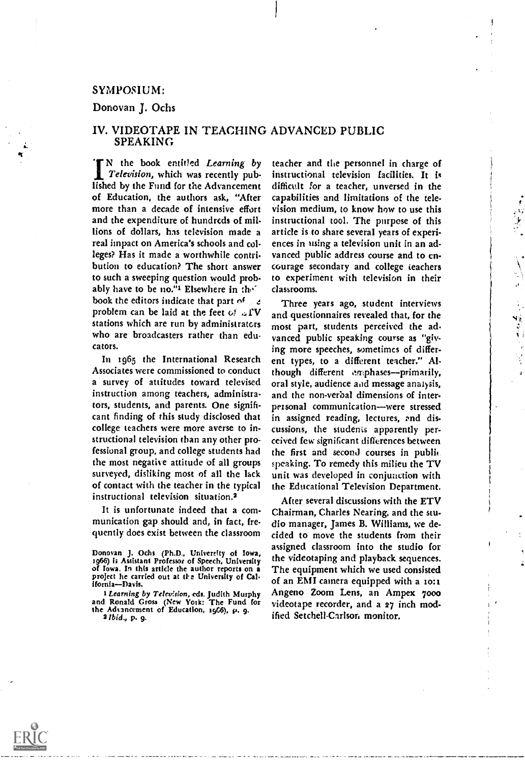# Donovan J. Ochs

## IV. VIDEOTAPE IN TEACHING ADVANCED PUBLIC SPEAKING

N the book entitled Learning by Television, which was recently published by the Fund for the Advancement of Education, the authors ask, "After more than a decade of intensive effort and the expenditure of hundreds of millions of dollars, has television made a real impact on America's schools and colleges? Has it made a worthwhile contribution to education? The short answer to such a sweeping question would probably have to be no."<sup>1</sup> Elsewhere in the book the editors indicate that part of  $\epsilon$ . problem can be laid at the feet of  $\triangle$   $\Gamma$ V stations which are run by administrators who are broadcasters rather than educators.

In 1965 the International Research Associates were commissioned to conduct a survey of attitudes toward televised instruction among teachers, administrators, students, and parents. One significant finding of this study disclosed that college teachers were more averse to instructional television than any other professional group, and college students had the most negative attitude of all groups surveyed, disliking most of all the lack of contact with the teacher in the typical instructional television situation.2

It is unfortunate indeed that a communication gap should and, in fact, frequently does exist between the classroom

teacher and the personnel in charge of instructional television facilities. It is difficult for a teacher, unversed in the capabilities and limitations of the television medium, to know how to use this instructional tool. The purpose of this article is to share several years of experiences in using a television unit in an advanced public address course and to encourage secondary and college teachers to experiment with television in their classrooms.

Three years ago, student interviews and questionnaires revealed that, for the most part, students perceived the advanced public speaking course as "giving more speeches, sometimes of different types, to a different teacher." Although different emphases--primarily, oral style, audience and message analysis, and the non-verbal dimensions of interpersonal communication--were stressed in assigned reading, lectures, 2nd discussions, the students apparently perceived few significant differences between the first and second courses in public speaking. To remedy this milieu the TV unit was developed in conjunction with the Educational Television Department.

After several discussions with the ETV Chairman, Charles Nearing, and the studio manager, James B. Williams, we decided to move the students from their assigned classroom into the studio for the videotaping and playback sequences. The equipment which we used consisted of an EMI camera equipped with a 10:1 Angeno Zoom Lens, an Ampex 7000 videotape recorder, and a 27 inch modified Setchell-Carlsori monitor.



Donovan J. Ochs (Ph.D., University of Iowa,  $\mathbf{L}$ 1966) is Assistant Professor of Speech, University the VIC<br>of Iowa. In this article the author reports on a The e<br>project he carried out at the University of Cal. 1 formia--Davis.

<sup>1</sup> Learning by Television, eds. Judith Murphy and Ronald Gross (New York: The Fund for video<br>the Advancement of Education, 1966), p. 9. 2 ibid., P. 9.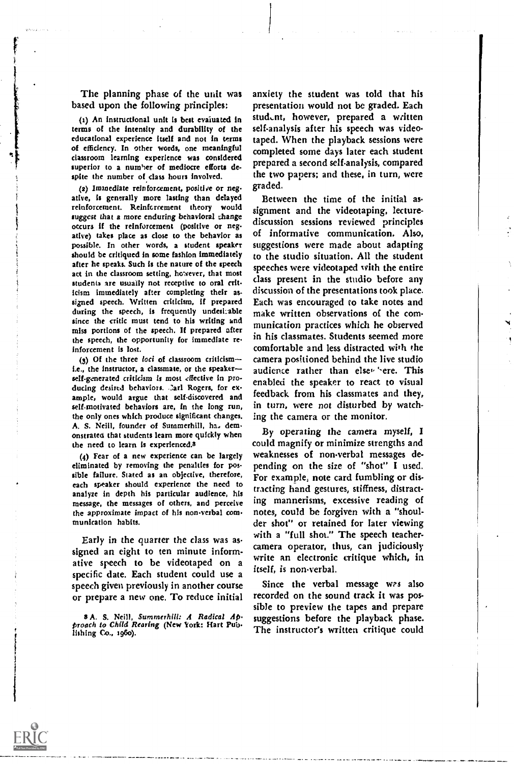The planning phase of the unit was based upon the following principles:

(1) An instructional unit is best evaluated in terms of the intensity and durability of the educational experience itself and not in terms of efficiency. In other words, one meaningful classroom learning experience was considered superior to a number of mediocre efforts despite the number of class hours involved.

(2) Immediate reinforcement, positive or negative, is generally more lasting than delayed reinforcement. Reinforcement theory would suggest that a more enduring behavioral change occurs if the reinforcement (positive or negative) takes place as close to the behavior as possible. In other words, a student speaker should be critiqued in some fashion immediately after he speaks. Such is the nature of the speech act in the classroom setting, however, that most students are usually not receptive to oral criticism immediately after completing their assigned speech. Written criticism, if prepared during the speech, is frequently undesi:able since the critic must tend to his writing and miss portions of the speech. If prepared after the speech, the opportunity for immediate reinforcement is lost.

(3) Of the three loci of classroom criticismi.e., the instructor, a classmate, or the speaker self-generated criticism is most effective in producing desired behaviors. Carl Rogers, for example, would argue that self-discovered and self-motivated behaviors are, In the long run, the only ones which produce significant changes. A. S. Neill, founder of Summerhill, ha. demonstrated that students learn more quickly when the need to learn is experienced.<sup>8</sup>

(4) Fear of a new experience can be largely eliminated by removing the penalties for possible failure. Stated as an objective, therefore, each speaker should experience the need to analyze in depth his particular audience, his message, the messages of others, and perceive the approximate impact of his non-verbal communication habits.

Early in the quarter the class was assigned an eight to ten minute informative speech to be videotaped on a specific date. Each student could use a speech given previously in another course or prepare a new one. To reduce initial

S A. S. Neill, Summerhill: A Radical Ap-<br>proach to Child Rearing (New York: Hart Publishing Co., :96o).

anxiety the student was told that his presentation would not be graded. Each student, however, prepared a written self-analysis after his speech was videotaped. When the playback sessions were completed some days later each student prepared a second self-analysis, compared the two papers; and these, in turn, were graded.

Between the time of the initial as signment and the videotaping, lecturediscussion sessions reviewed principles of informative communication. Also, suggestions were made about adapting to the studio situation. All the student speeches were videotaped with the entire class present in the studio before any discussion of the presentations took place. Each was encouraged to take notes and make written observations of the communication practices which he observed in his classmates. Students seemed more comfortable and less distracted with the camera positioned behind the live studio audience rather than else<sup>t there.</sup> This enabled the speaker to react to visual feedback from his classmates and they, in turn, were not disturbed by watching the camera or the monitor.

By operating the camera myself, I could magnify or minimize strengths and weaknesses of non-verbal messages depending on the size of "shot" I used. For example, note card fumbling or distracting hand gestures, stiffness, distracting mannerisms, excessive reading of notes, could be forgiven with a "shoulder shot" or retained for later viewing with a "full shot." The speech teachercamera operator, thus, can judiciously write an electronic critique which, in itself, is non-verbal.

Since the verbal message was also recorded on the sound track it was possible to preview the tapes and prepare suggestions before the playback phase. The instructor's written critique could

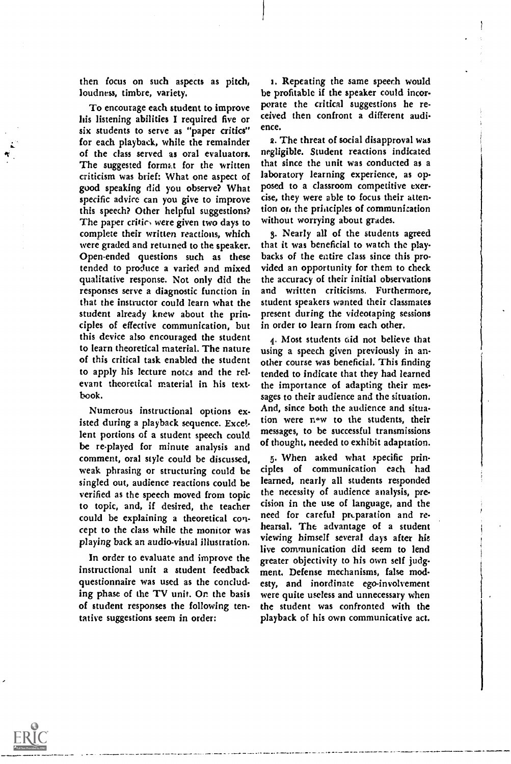then focus on such aspects as pitch, loudness, timbre, variety.

To encourage each student to improve his listening abilities I required five or six students to serve as "paper critics" for each playback, while the remainder of the class served as oral evaluators. The suggested format for the written criticism was brief: What one aspect of good speaking did you observe? What specific advice can you give to improve this speech? Other helpful suggestions? The paper critic, were given two days to complete their written reactions, which were graded and returned to the speaker. Open-ended questions such as these tended to produce a varied and mixed qualitative response. Not only did the responses serve a diagnostic function in that the instructor could learn what the student already knew about the principles of effective communication, but this device also encouraged the student to learn theoretical material. The nature of this critical task enabled the student to apply his lecture notes and the relevant theoretical material in his textbook.

Numerous instructional options existed during a playback sequence. Excellent portions of a student speech could be re-played for minute analysis and comment, oral style could be discussed, weak phrasing or structuring could be singled out, audience reactions could be verified as the speech moved from topic to topic, and, if desired, the teacher could be explaining a theoretical concept to the class while the monitor was playing back an audio-visual illustration.

In order to evaluate and improve the instructional unit a student feedback questionnaire was used as the concluding phase of the TV unit. On the basis of student responses the following tentative suggestions seem in order:

1. Repeating the same speech would be profitable if the speaker could incorporate the critical suggestions he received then confront a different audience.

2. The threat of social disapproval was negligible. Student reactions indicated that since the unit was conducted as a laboratory learning experience, as opposed to a classroom competitive exercise, they were able to focus their attention or the principles of communication without worrying about grades.

3. Nearly all of the students agreed that it was beneficial to watch the playbacks of the entire class since this provided an opportunity for them to check the accuracy of their initial observations and written criticisms. Furthermore, student speakers wanted their classmates present during the videotaping sessions in order to learn from each other.

4. Most students oid not believe that using a speech given previously in another course was beneficial. This finding tended to indicate that they had learned the importance of adapting their messages to their audience and the situation. And, since both the audience and situation were now to the students, their messages, to be successful transmissions of thought, needed to exhibit adaptation.

5. When asked what specific principles of communication each had learned, nearly all students responded the necessity of audience analysis, precision in the use of language, and the need for careful preparation and rehearsal. The advantage of a student viewing himself several days after his live communication did seem to lend greater objectivity to his own self judgment. Defense mechanisms, false modesty, and inordinate ego-involvement were quite useless and unnecessary when the student was confronted with the playback of his own communicative act.

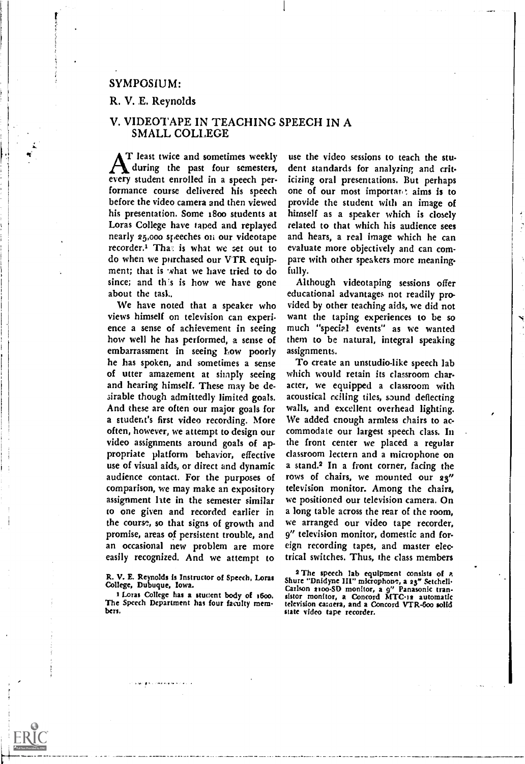# R. V. E. Reynolds

# V. VIDEOTAPE IN TEACHING SPEECH IN A SMALL COLI,EGE

T least twice and sometimes weekly during the past four semesters, every student enrolled in a speech performance course delivered his speech before the video camera and then viewed his presentation. Some 1800 students at Loras College have taped and replayed nearly 25,000 speeches on our videotape recorder.<sup>1</sup> Tha: is what we set out to do when we purchased our VTR equipment; that is what we have tried to do since; and th's is how we have gone about the tasl..

We have noted that a speaker who views himself on television can experience a sense of achievement in seeing how well he has performed, a sense of embarrassment in seeing how poorly he has spoken, and sometimes a sense of utter amazement at simply seeing and hearing himself. These may be desirable though admittedly limited goals. And these are often our major goals for a student's first video recording. More often, however, we attempt to design our video assignments around goals of appropriate platform behavior, effective use of visual aids, or direct and dynamic audience contact. For the purposes of comparison, we may make an expository assignment late in the semester similar to one given and recorded earlier in the course, so that signs of growth and promise, areas of persistent trouble, and an occasional new problem are more easily recognized. And we attempt to

The Speech Department has four faculty mem- bers.

use the video sessions to teach the student standards for analyzing and criticizing oral presentations. But perhaps one of our most importaw. aims is to provide the student with an image of himself as a speaker which is closely related to that which his audience sees and hears, a real image which he can evaluate more objectively and can compare with other speakers more meaningfully.

Although videotaping sessions offer educational advantages not readily provided by other teaching aids, we did not want the taping experiences to be so much "special events" as we wanted them to be natural, integral speaking assignments.

To create an unstudio-like speech lab which would retain its classroom character, we equipped a classroom with acoustical ceiling tiles, sound deflecting walls, and excellent overhead lighting. We added enough armless chairs to accommodate our largest speech class. In the front center we placed a regular classroom lectern and a microphone on a stand.2 In a front corner, facing the rows of chairs, we mounted our 23" television monitor. Among the chairs, we positioned our television camera. On a long table across the rear of the room, we arranged our video tape recorder, g" television monitor, domestic and foreign recording tapes, and master electrical switches. Thus, the class members

R. V. E. Reynolds is Instructor of Speech, Loras 2 The speech lab equipment consists of a College, Dubuque, Iowa. College, Dubuque, Iowa. College, Dubuque, Iowa. College has a student body of 1600. sistor monitor, a Concor Carlson 2100-SD monitor, a 9" Panasonic trantelevision ca:aera, and a Concord VTR-boo solid state video tape recorder.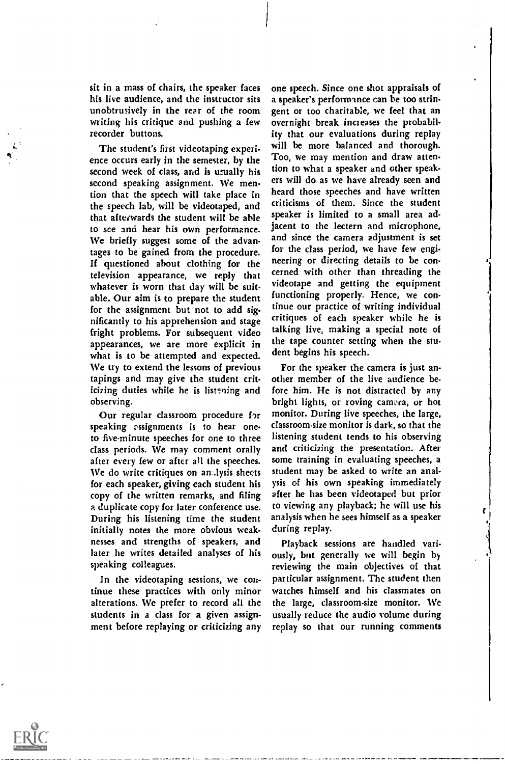sit in a mass of chairs, the speaker faces his live audience, and the instructor sits unobtrusively in the rear of the room writing his critique and pushing a few recorder buttons.

The student's first videotaping experience occurs early in the semester, by the second week of class, and is usually his second speaking assignment. We mention that the speech will take place in the speech lab, will be videotaped, and that afterwards the student will be able to see and hear his own performance. We briefly suggest some of the advantages to be gained from the procedure. If questioned about clothing for the television appearance, we reply that whatever is worn that day will be suitable. Our aim is to prepare the student for the assignment but not to add significantly to his apprehension and stage fright problems. For subsequent video appearances, we are more explicit in what is to be attempted and expected. We try to extend the lessons of previous tapings and may give the student criticizing duties while he is listening and observing.

Our regular classroom procedure for speaking assignments is to hear oneto five-minute speeches for one to three class periods. We may comment orally after every few or after all the speeches. We do write critiques on an lysis sheets for each speaker, giving each student his copy of the written remarks, and filing a duplicate copy for later conference use. During his listening time the student initially notes the more obvious weaknesses and strengths of speakers, and later he writes detailed analyses of his speaking colleagues.

In the videotaping sessions, we continue these practices with only minor alterations. We prefer to record all the students in a class for a given assignment before replaying or criticizing any one speech. Since one shot appraisals of a speaker's performance can be too stringent or too charitable, we feel that an overnight break increases the probability that our evaluations during replay will be more balanced and thorough. Too, we may mention and draw attention to what a speaker and other speakers will do as we have already seen and heard those speeches and have written criticisms of them. Since the student speaker is limited to a small area adjacent to the lectern and microphone, and since the camera adjustment is set for the class period, we have few engineering or directing details to be concerned with other than threading the videotape and getting the equipment functioning properly. Hence, we continue our practice of writing individual critiques of each speaker while he is talking live, making a special note of the tape counter setting when the student begins his speech.

For the speaker the camera is just another member of the live audience before him. He is not distracted by any bright lights, or roving camera, or hot monitor. During live speeches, the large, classroom-size monitor is dark, so that the listening student tends to his observing and criticizing the presentation. After some training in evaluating speeches, a student may be asked to write an analysis of his own speaking immediately after he has been videotaped but prior to viewing any playback; he will use his analysis when he sees himself as a speaker during replay.

Playback sessions are handled variously, but generally we will begin by reviewing the main objectives of that particular assignment. The student then watches himself and his classmates on the large, classroom-size monitor. We usually reduce the audio volume during replay so that our running comments

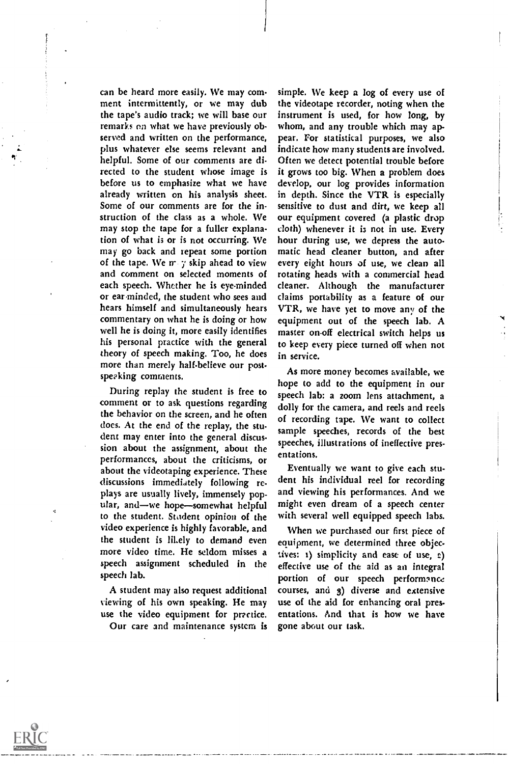can be heard more easily. We may comment intermittently, or we may dub the tape's audio track; we will base our remarks on what we have previously observed and written on the performance, plus whatever else seems relevant and helpful. Some of our comments are directed to the student whose image is before us to emphasize what we have already written on his analysis sheet. Some of our comments are for the instruction of the class as a whole. We may stop the tape for a fuller explanation of what is or is not occurring. We may go back and repeat some portion of the tape. We  $rr$  y skip ahead to view and comment on selected moments of each speech. Whether he is eye-minded or ear.minded, the student who sees and hears himself and simultaneously hears commentary on what he is doing or how well he is doing it, more easily identifies his personal practice with the general theory of speech making. Too, he does more than merely half-believe our postspeaking comments.

During replay the student is free to comment or to ask questions regarding the behavior on the screen, and he often does. At the end of the replay, the student may enter into the general discus. sion about the assignment, about the performances, about the criticisms, or about the videotaping experience. These discussions immediately following replays are usually lively, immensely popular, and—we hope—somewhat helpful to the student. Student opinion of the video experience is highly favorable, and the student is likely to demand even more video time. He seldom misses a speech assignment scheduled in the speech lab.

A student may also request additional viewing of his own speaking. He may use the video equipment for practice. Our care and maintenance system is simple. We keep a log of every use of the videotape recorder, noting when the instrument is used, for how long, by whom, and any trouble which may appear. For statistical purposes, we also indicate how many students are involved. Often we detect potential trouble before it grows too big. When a problem does develop, our log provides information in depth. Since the VTR is especially sensitive to dust and dirt, we keep all our equipment covered (a plastic drop cloth) whenever it is not in use. Every hour during use, we depress the automatic head cleaner button, and after every eight hours of use, we clean all rotating heads with a commercial head cleaner. Although the manufacturer claims portability as a feature of our VTR, we have yet to move any of the equipment out of the speech lab. A master on-off electrical switch helps us to keep every piece turned off when not in service.

As more money becomes available, we hope to add to the equipment in our speech lab: a zoom lens attachment, a dolly for the camera, and reels and reels of recording tape. We want to collect sample speeches, records of the best speeches, illustrations of ineffective presentations.

Eventually we want to give each student his individual reel for recording and viewing his performances. And we might even dream of a speech center with several well equipped speech labs.

When we purchased our first piece of equipment, we determined three objectives: 1) simplicity and ease of use,  $\epsilon$ ) effective use of the aid as an integral portion of our speech performance courses, and 3) diverse and extensive use of the aid for enhancing oral presentations. And that is how we have gone about our task.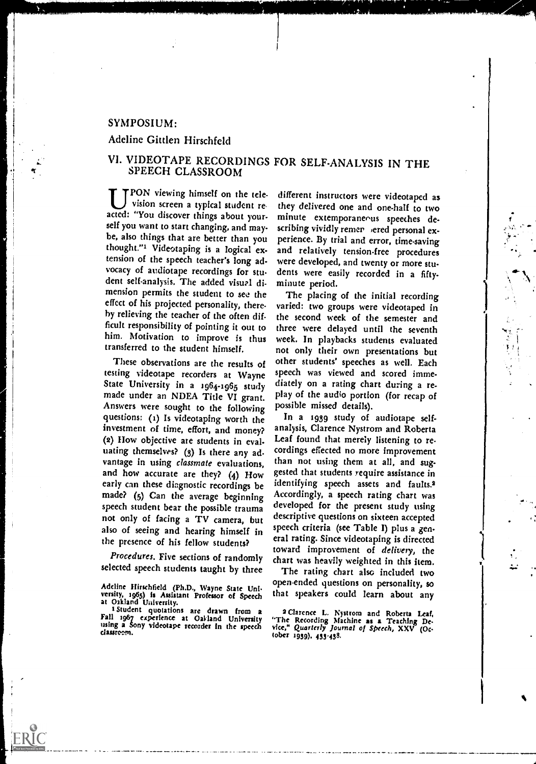# Adeline Gittlen Hirschfeld

# VI. VIDEOTAPE RECORDINGS FOR SELF-ANALYSIS IN THE SPEECH CLASSROOM

PON viewing himself on the television screen a typical student re acted: "You discover things about yourself you want to start changing, and maybe, also things that are better than you thought."' Videotaping is a logical extension of the speech teacher's long advocacy of audiotape recordings for student self-analysis. The added visual dimension permits the student to see the effect of his projected personality, thereby relieving the teacher of the often difficult responsibility of pointing it out to him. Motivation to improve is thus transferred to the student himself.

These observations are the results of testing videotape recorders at Wayne State University in a 1964-1965 study made under an NDEA Title VI grant. Answers were sought to the following questions: (1) Is videotaping worth the investment of time, effort, and money? (a) How objective are students in evaluating themselves? (3) Is there any advantage in using classmate evaluations, and how accurate are they? (4) How early can these diagnostic recordings be made? (5) Can the average beginning speech student bear the possible trauma not only of facing a TV camera, but also of seeing and hearing himself in the presence of his fellow students?

Procedures. Five sections of randomly selected speech students taught by three

different instructors were videotaped as they delivered one and one-half to two minute extemporaneous speeches describing vividly remer bered personal experience. By trial and error, time-saving and relatively tension-free procedures were developed, and twenty or more students were easily recorded in a fifty- minute period.

The placing of the initial recording varied: two groups were videotaped in the second week of the semester and three were delayed until the seventh week. In playbacks students evaluated not only their own presentations but other students' speeches as well. Each speech was viewed and scored immediately on a rating chart during a replay of the audio portion (for recap of possible missed details).

In a 1939 study of audiotape selfanalysis, Clarence Nystrom and Roberta Leaf found that merely listening to recordings effected no more improvement than not using them at all, and suggested that students require assistance in identifying speech assets and faults.2 Accordingly, a speech rating chart was developed for the present study using descriptive questions on sixteen accepted speech criteria (see Table I) plus a general rating. Since videotaping is directed toward improvement of delivery, the chart was heavily weighted in this item.

The rating chart also included two open-ended questions on personality, so that speakers could learn about any

Adeline Hirschfield (Ph.D., Wayne State Uni- versity, 1965) is Assistant Professor of Speech at Oakland University.

<sup>1</sup> Student quotations are drawn from a 2 Clarence<br>Fall 1967 experience at Oakland University "The Record<br>using a Sony videotape recorder in the speech vice," Quarter<br>classroom.

<sup>2</sup> Clarence L. Nystrom and Roberta Leaf, "The Recording Machine as a Teaching De- vice," Quarterly Journal of Speech, XXV (October 1939), 433438.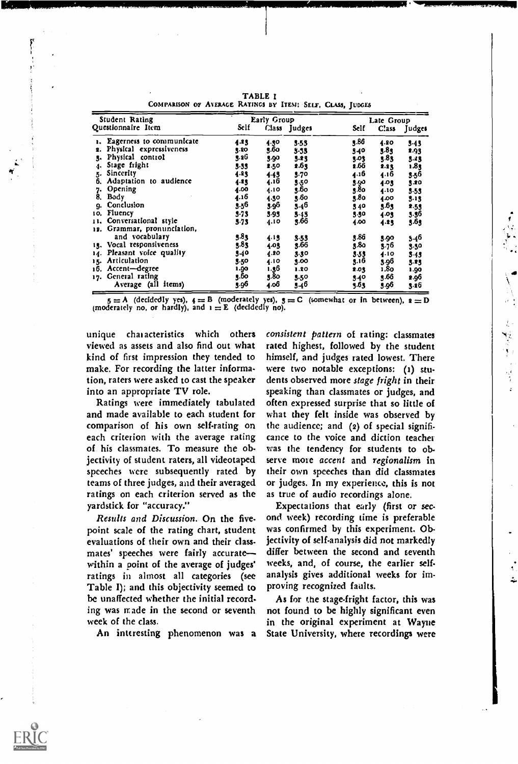| Student Rating                | Early Group |      |              |      | Late Group       |        |  |
|-------------------------------|-------------|------|--------------|------|------------------|--------|--|
| Questionnaire Item            | Self        |      | Class Judges | Self | $C$ : ass        | Judges |  |
| 1. Eagerness to communicate   | 4.23        | 4.30 | 3.53         | 3.86 | 4.20             | 3.45   |  |
| Physical expressiveness<br>2. | 3.20        | 3.60 | $3 - 53$     | 340  | 3.8 <sub>3</sub> | 2.93   |  |
| Physical control              | 3.26        | 5.90 | 5.25         | 3.03 | 3.83             | 3.43   |  |
| Stage fright                  | 5 33        | 2.50 | 2.63         | 2.66 | 2.25             | 1.85   |  |
| Sincerity<br>5.               | 4.23        | 4.43 | 3.70         | 4.16 | 4.16             | 3.56   |  |
| Adaptation to audience        | 4.23        | 4.16 | 3.50         | 5.90 | 4.03             | 5.20   |  |
| Opening<br>7.                 | 4.00        | 4.10 | 3.60         | 3.80 | 4.10             | 3.53   |  |
| Body<br>8.                    | 4.16        | 4.50 | 3.60         | 3.80 | 4.00             | 3.13   |  |
| Conclusion<br>9.              | 3.56        | 3.96 | 3.46         | 340  | 3.63             | 2.53   |  |
| 10. Fluency                   | $3-73$      | 5.95 | 3.43         | 3.30 | 4.03             | 3.36   |  |
| 11. Conversational style      | 3.73        | 4.10 | 3.66         | 4.00 | 4.23             | 3.63   |  |
| 12. Grammar, pronunciation,   |             |      |              |      |                  |        |  |
| and vocabulary                | 3.83        | 4.13 | 3.53         | 3.86 | 3.90             | $5-46$ |  |
| 13. Vocal responsiveness      | 5.83        | 4.03 | 3.66         | 3.80 | 3.76             | 3.50   |  |
| 14. Pleasant voice quality    | 5.40        | 4.80 | 3.30         | 3.55 | 4.10             | 3.43   |  |
| 15. Articulation              | 3.50        | 4.10 | 3.00         | 3.16 | ჯ. 96            | 5.25   |  |
| 16. Accent-degree             | 1.90        | 1.36 | 1.20         | 2.05 | 1.80             | 1.90   |  |
| 17. General rating            | 3.60        | 3.80 | 3.50         | 3.40 | 3.66             | 2.96   |  |
| Average (all items)           | 3.96        | 4.06 | $3-46$       | 3.63 | 3.96             | 3.26   |  |

TABLE I COMPARISON OF AVERAGE RATINGS BY ITEM: SELF, CLASS, JUDGES

 $5 = A$  (decidedly yes),  $4 = B$  (moderately yes),  $3 = C$  (somewhat or in between),  $2 = D$  (moderately no, or hardly), and  $1 = E$  (decidedly no).

unique characteristics which others viewed as assets and also find out what kind of first impression they tended to make. For recording the latter information, raters were asked to cast the speaker into an appropriate TV role.

Ratings were immediately tabulated and made available to each student for comparison of his own self-rating on each criterion with the average rating of his classmates. To measure the objectivity of student raters, all videotaped speeches were subsequently rated by teams of three judges, and their averaged ratings on each criterion served as the yardstick for "accuracy."

Results and Discussion. On the fivepoint scale of the rating chart, student evaluations of their own and their classmates' speeches were fairly accuratewithin a point of the average of judges' ratings in almost all categories (see Table I); and this objectivity seemed to be unaffected whether the initial recording was made in the second or seventh week of the class.

An interesting phenomenon was a

consistent pattern of rating: classmates rated highest, followed by the student himself, and judges rated lowest. There were two notable exceptions: (1) students observed more stage fright in their speaking than classmates or judges, and often expressed surprise that so little of what they felt inside was observed by the audience; and (2) of special significance to the voice and diction teacher was the tendency for students to observe more accent and regionalism in their own speeches than did classmates or judges. In my experience, this is not as true of audio recordings alone.

نې په ÿ

Expectations that early (first or second week) recording time is preferable was confirmed by this experiment. Objectivity of self-analysis did not markedly differ between the second and seventh weeks, and, of course, the earlier selfanalysis gives additional weeks for improving recognized faults.

As for the stage-fright factor, this was not found to be highly significant even in the original experiment at Wayne State University, where recordings were

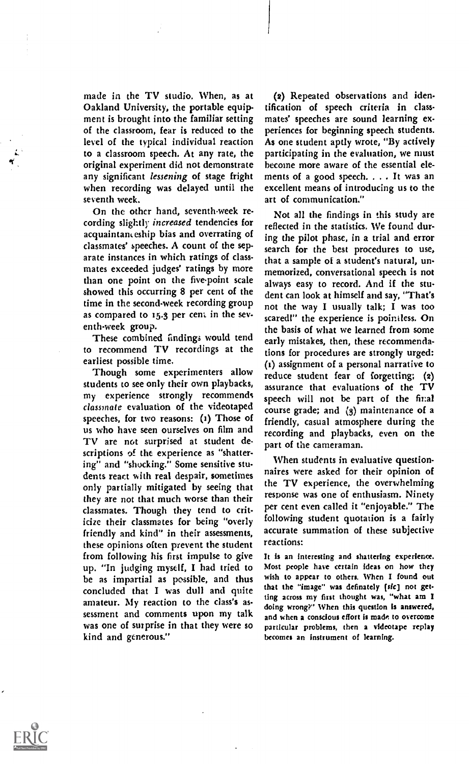made in the TV studio. When, as at Oakland University, the portable equipment is brought into the familiar setting of the classroom, fear is reduced to the level of the typical individual reaction to a classroom speech. At any rate, the original experiment did not demonstrate any significant lessening of stage fright when recording was delayed until the seventh week.

On the other hand, seventhweek recording slightly increased tendencies for acquaintankeship bias and overrating of classmates' speeches. A count of the separate instances in which ratings of classmates exceeded judges' ratings by more than one point on the five-point scale showed this occurring 8 per cent of the time in the second-week recording group as compared to 15.3 per cent in the seventh-week group.

These combined findings would tend to recommend TV recordings at the earliest possible time.

Though some experimenters allow students to see only their own playbacks, my experience strongly recommends classmate evaluation of the videotaped speeches, for two reasons: (1) Those of us who have seen ourselves on film and TV are not surprised at student descriptions of the experience as "shattering" and "shocking." Some sensitive students react with real despair, sometimes only partially mitigated by seeing that they are not that much worse than their classmates. Though they tend to criticize their classmates for being "overly friendly and kind" in their assessments, these opinions often prevent the student from following his first impulse to give up. "In judging myself, I had tried to be as impartial as possible, and thus concluded that I was dull and quite amateur. My reaction to the class's assessment and comments upon my talk was one of surprise in that they were so kind and generous."

(2) Repeated observations and identification of speech criteria in classmates' speeches are sound learning experiences for beginning speech students. As one student aptly wrote, "By actively participating in the evaluation, we must become more aware of the essential elements of a good speech. . . . It was an excellent means of introducing us to the art of communication."

Not all the findings in this study are reflected in the statistics. We found during the pilot phase, in a trial and error search for the best procedures to use, that a sample of a student's natural, unmemorized, conversational speech is not always easy to record. And if the student can look at himself and say, "That's not the way I usually talk; I was too scared!" the experience is pointless. On the basis of what we learned from some early mistakes, then, these recommendations for procedures are strongly urged: (t) assignment of a personal narrative to reduce student fear of forgetting; (2) assurance that evaluations of the TV speech will not be part of the final course grade; and (3) maintenance of a friendly, casual atmosphere during the recording and playbacks, even on the part of the cameraman.

When students in evaluative questionnaires were asked for their opinion of the TV experience, the overwhelming response was one of enthusiasm. Ninety per cent even called it "enjoyable." The following student quotation is a fairly accurate summation of these subjective reactions:

It is an interesting and shattering experience. Most people have certain ideas on how they wish to appear to others. When I found out that the "image" was definately [sic] not getting across my first thought was, "what am I doing wrong?" When this question is answered, and when a conscious effort is made to overcome particular problems, then a videotape replay becomes an instrument of learning.

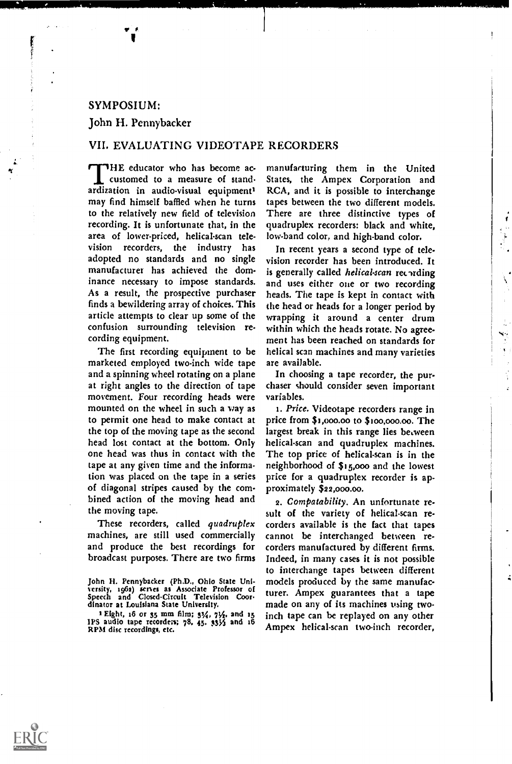#### John H. Pennybacker

### VII. EVALUATING VIDEOTAPE RECORDERS

THE educator who has become accustomed to a measure of standardization in audio-visual equipment' may find himself baffled when he turns to the relatively new field of television recording. It is unfortunate that, in the area of lower-priced, helical-scan tele-<br>vision recorders, the industry has the industry has adopted no standards and no single manufacturer has achieved the dominance necessary to impose standards. As a result, the prospective purchaser finds a bewildering array of choices. This article attempts to clear up some of the confusion surrounding television recording equipment.

The first recording equipment to be marketed employed two-inch wide tape and a spinning wheel rotating on a plane at right angles to the direction of tape movement. Four recording heads were mounted on the wheel in such a way as to permit one head to make contact at the top of the moving tape as the second head lost contact at the bottom. Only one head was thus in contact with the tape at any given time and the information was placed on the tape in a series of diagonal stripes caused by the combined action of the moving head and the moving tape.

These recorders, called quadruplex machines, are still used commercially and produce the best recordings for broadcast purposes. There are two firms

I Eight, 16 or 35 mm film;  $3\frac{1}{4}$ ,  $7\frac{1}{2}$ , and 15 inch tape recorders;  $78$ ,  $45$ ,  $33\frac{1}{3}$  and 16 Ampor RPM disc recordings, etc.

manufacturing them in the United States, the Ampex Corporation and RCA, and it is possible to interchange tapes between the two different models. There are three distinctive types of quadruplex recorders: black and white, low-band color, and high-band color.

In recent years a second type of television recorder has been introduced. It is generally called *helical-scan* recording and uses either one or two recording heads. The tape is kept in contact with the head or heads for a longer period by wrapping it around a center drum within which the heads rotate. No agreement has been reached on standards for helical scan machines and many varieties are available.

In choosing a tape recorder, the purchaser should consider seven important variables.

1. Price. Videotape recorders range in price from \$1,000.00 to \$100,000.00. The largest break in this range lies between helical-scan and quadruplex machines. The top price of helical-scan is in the neighborhood of \$15,000 and the lowest price for a quadruplex recorder is approximately \$22,000.00.

2. Compatability. An unfortunate result of the variety of helical-scan recorders available is the fact that tapes cannot be interchanged between recorders manufactured by different firms. Indeed, in many cases it is not possible to interchange tapes between different models produced by the same manufacturer. Ampex guarantees that a tape made on any of its machines using twoinch tape can be replayed on any other Ampex helical-scan two-inch recorder,



John H. Pennybacker (Ph.D., Ohio State Uni-versity, 1962) senes as Associate Professor of Speech and Closed-Circuit Television Coor-<br>dinator at Louisiana State University.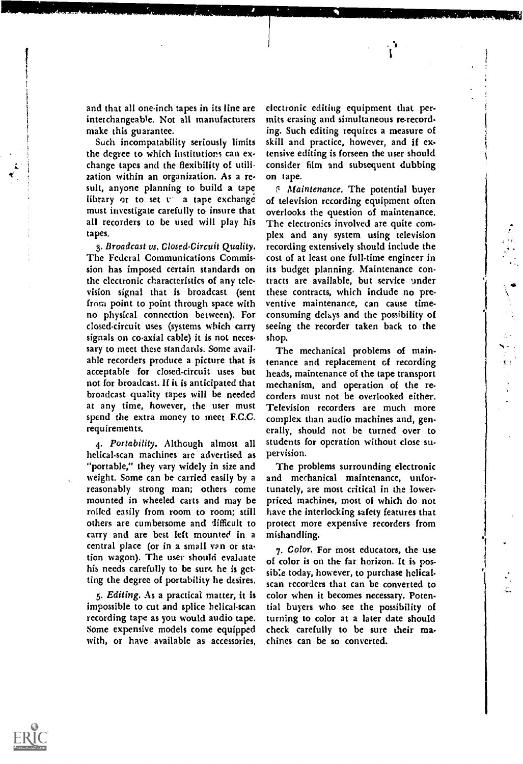and that all one-inch tapes in its line are interchangeable. Not all manufacturers make this guarantee.

Such incompatability seriously limits the degree to which institutions can exchange tapes and the flexibility of utilization within an organization. As a result, anyone planning to build a tape library or to set v a tape exchange must investigate carefully to insure that all recorders to be used will play his tapes.

3. Broadcast vs. Closed-Circuit Quality. The Federal Communications Commission has imposed certain standards on the electronic characteristics of any television signal that is broadcast (sent from point to point through space with no physical connection between). For closed-circuit uses (systems which carry signals on co-axial cable) it is not necessary to meet these standards. Some available recorders produce a picture that is acceptable for closed-circuit uses but not for broadcast. If it is anticipated that broadcast quality tapes will be needed at any time, however, the user must spend the extra money to meet F.C.C. requirements.

4. Portability. Although almost all helical-scan machines are advertised as "portable," they vary widely in size and weight. Some can be carried easily by a reasonably strong man; others come mounted in wheeled carts and may be rolled easily from room to room; still others are cumbersome and difficult to carry and are best left mounted in a central place (or in a small van or station wagon). The user should evaluate his needs carefully to be sure. he is getting the degree of portability he desires.

5. Editing. As a practical matter, it is impossible to cut and splice helical-scan recording tape as you would audio tape. some expensive models come equipped with, or have available as accessories, electronic editing equipment that permits erasing and simultaneous re-recording. Such editing requires a measure of skill and practice, however, and if extensive editing is forseen the user should consider film and subsequent dubbing on tape.

(' Maintenance. The potential buyer of television recording equipment often overlooks the question of maintenance. The electronics involved are quite complex and any system using television recording extensively should include the cost of at least one full-time engineer in its budget planning. Maintenance contracts are available, but service under these contracts, which include no preventive maintenance, can cause timeconsuming deLys and the possibility of seeing the recorder taken back to the shop.

The mechanical problems of maintenance and replacement of recording heads, maintenance of the tape transport mechanism, and operation of the recorders must not be overlooked either. Television recorders are much more complex than audio machines and, generally, should not be turned over to students for operation without close supervision.

The problems surrounding electronic and mechanical maintenance, unfortunately, are most critical in the lowerpriced machines, most of which do not have the interlocking safety features that protect more expensive recorders from mishandling.

7. Color. For most educators, the use of color is on the far horizon. It is possib:e today, however, to purchase helicalscan recorders that can be converted to color when it becomes necessary. Potential buyers who see the possibility of turning to color at a later date should check carefully to be sure their machines can be so converted.

L.

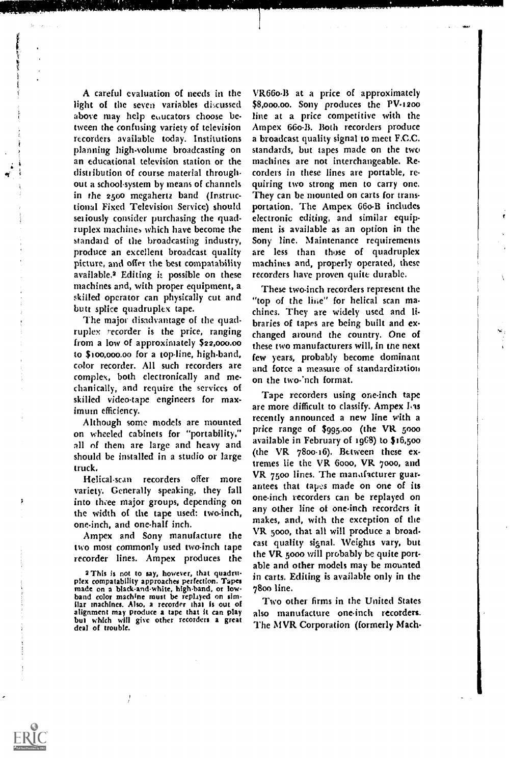A careful evaluation of needs in the light of the seven variables discussed above may help euucators choose between the confusing variety of television recorders available today. Institutions planning high-volume broadcasting on an educational television station or the distribution of course material throughout a school-system by means of channels in the 2500 megahertz band (Instructional Fixed Television Service) should seriously consider purchasing the quadruplex machines which have become the standard of the broadcasting industry, produce an excellent broadcast quality picture, and offer the best compatability available? Editing it possible on these machines and, with proper equipment, a skilled operator can physically cut and butt splice quadruplex tape.

The major disadvantage of the quadruplex recorder is the price, ranging from a low of approximately \$22,000.00 to \$100,000.00 for a top-line, high-band, color recorder. All such recorders are complex, both electronically and mechanically, and require the services of skilled video-tape engineers for maximum efficiency.

Although some models are mounted on wheeled cabinets for "portability," all of them are large and heavy and should be installed in a studio or large truck,

Helical-scan recorders offer more variety. Generally speaking, they fall into three major groups, depending on the width of the tape used: two-inch, one-inch, and one-half inch.

Ampex and Sony manufacture the two most commonly used two-inch tape recorder lines. Ampex produces the

<sup>2</sup> This is not to say, however, that quadrupiex compatability approaches perfection. Tapes made on a black-and-white, high-band, or lowband color machine must be replayed on similar machines. Also, a recorder that is out of alignment may produce a tape that it can play but which will give other recorders <sup>a</sup> great deal of trouble.

VR66o-B at a price of approximately \$8,000.00. Sony produces the PV-Isoo line at a price competitive with the Ampex 66o-B. Both recorders produce a broadcast quality signal to meet F.C.C. standards, but tapes made on the two machines are not interchangeable. Recorders in these lines are portable, requiring two strong men to carry one. They can be mounted on carts for transportation. The Ampex 66o-B includes electronic editing, and similar equipment is available as an option in the Sony line. Maintenance requirements are less than those of quadruplex machines and, properly operated, these recorders have proven quite durable.

These two-inch recorders represent the "top of the line" for helical scan machines. They are widely used and libraries of tapes are being built and exchanged around the country. One of these two manufacturers will, in the next few years, probably become dominant and force a measure of standardization on the two-'nch format.

Tape recorders using one-inch tape are more difficult to classify. Ampex Las recently announced a new line with a price range of \$995.00 (the VR 5000 available in February of 1968) to \$16,500 (the VR 7800 -16). Between these extremes lie the VR 6000, VR 7000, and VR 7500 lines. The manufacturer guarantees that tapes made on one of its one-inch recorders can be replayed on any other line of one-inch recorders it makes, and, with the exception of the VR 5000, that all will produce a broadcast quality signal. 'Weights vary, but the VR 5000 will probably be quite portable and other models may be mounted in carts. Editing is available only in the 7800 line.

Two other firms in the United States also manufacture one-inch recorders. The MVR Corporation (formerly Mach-